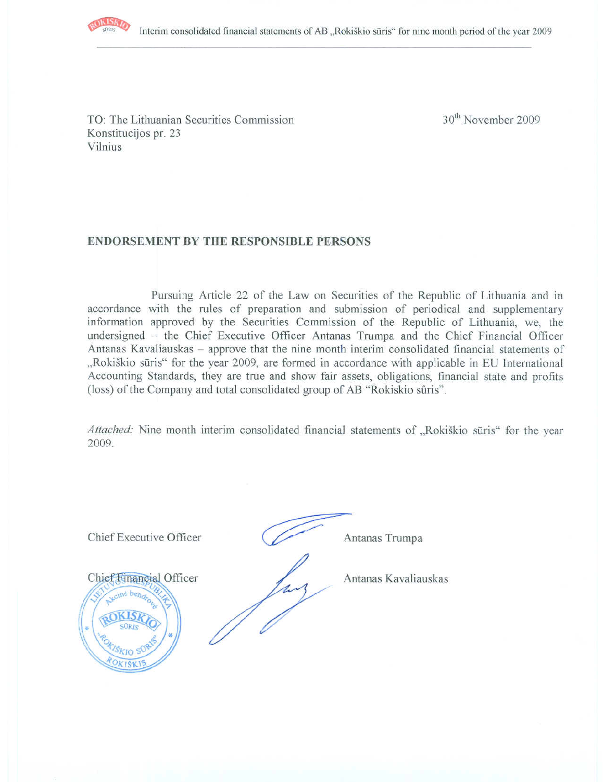

Interim consolidated financial statements of AB "Rokiškio sūris" for nine month period of the year 2009

TO: The Lithuanian Securities Commission Konstitucijos pr. 23 Vilnius

30<sup>th</sup> November 2009

#### **ENDORSEMENT BY THE RESPONSIBLE PERSONS**

Pursuing Article 22 of the Law on Securities of the Republic of Lithuania and in accordance with the rules of preparation and submission of periodical and supplementary information approved by the Securities Commission of the Republic of Lithuania, we, the undersigned - the Chief Executive Officer Antanas Trumpa and the Chief Financial Officer Antanas Kavaliauskas – approve that the nine month interim consolidated financial statements of "Rokiškio sūris" for the year 2009, are formed in accordance with applicable in EU International Accounting Standards, they are true and show fair assets, obligations, financial state and profits (loss) of the Company and total consolidated group of AB "Rokiskio sûris".

Attached: Nine month interim consolidated financial statements of "Rokiškio sūris" for the year 2009.

| Chief Executive Officer                                          | Antanas Trumpa       |
|------------------------------------------------------------------|----------------------|
| Chief Financial Officer<br>cine ben.<br><b>SURTe</b><br>ROKIŠKIS | Antanas Kavaliauskas |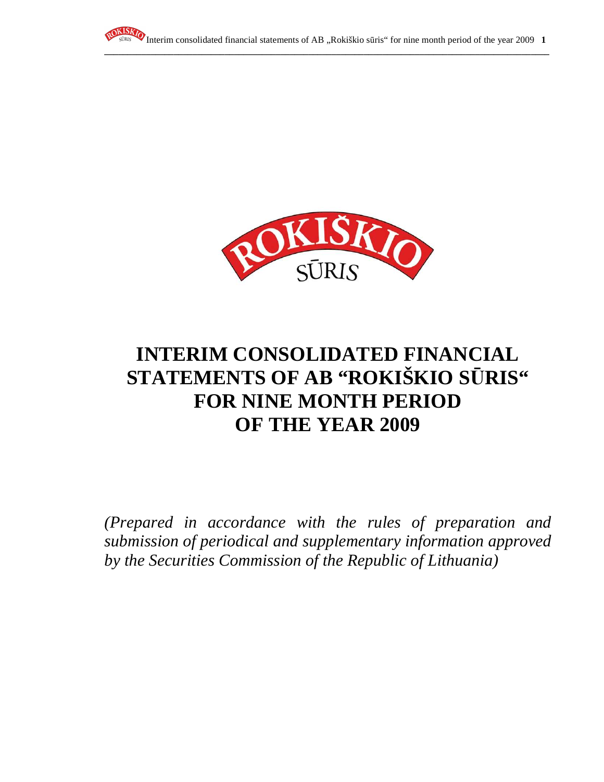



# **INTERIM CONSOLIDATED FINANCIAL STATEMENTS OF AB "ROKIŠKIO S**Ū**RIS" FOR NINE MONTH PERIOD OF THE YEAR 2009**

*(Prepared in accordance with the rules of preparation and submission of periodical and supplementary information approved by the Securities Commission of the Republic of Lithuania)*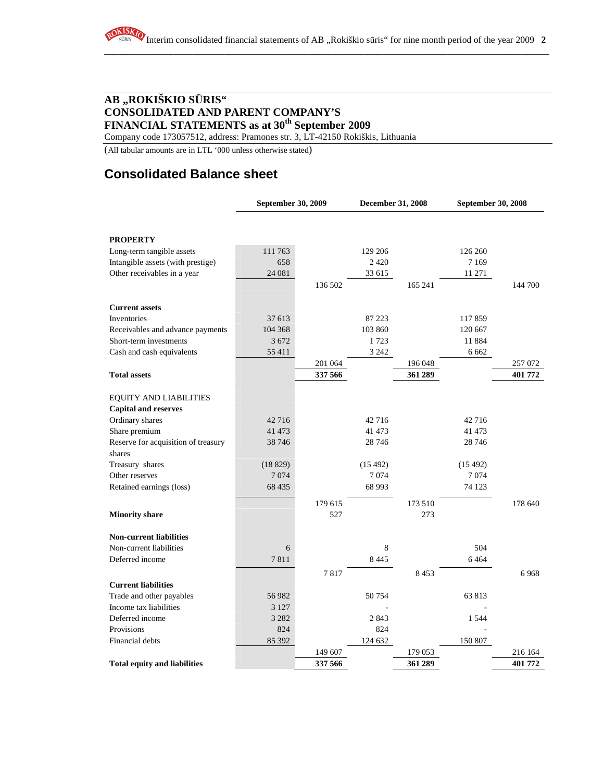Company code 173057512, address: Pramones str. 3, LT-42150 Rokiškis, Lithuania

(All tabular amounts are in LTL '000 unless otherwise stated)

# **Consolidated Balance sheet**

|                                     |         | September 30, 2009 |         | December 31, 2008 |          | September 30, 2008 |  |
|-------------------------------------|---------|--------------------|---------|-------------------|----------|--------------------|--|
|                                     |         |                    |         |                   |          |                    |  |
| <b>PROPERTY</b>                     |         |                    |         |                   |          |                    |  |
| Long-term tangible assets           | 111 763 |                    | 129 206 |                   | 126 260  |                    |  |
| Intangible assets (with prestige)   | 658     |                    | 2 4 2 0 |                   | 7 1 6 9  |                    |  |
| Other receivables in a year         | 24 081  |                    | 33 615  |                   | 11 271   |                    |  |
|                                     |         | 136 502            |         | 165 241           |          | 144 700            |  |
| <b>Current assets</b>               |         |                    |         |                   |          |                    |  |
| Inventories                         | 37 613  |                    | 87 223  |                   | 117859   |                    |  |
| Receivables and advance payments    | 104 368 |                    | 103 860 |                   | 120 667  |                    |  |
| Short-term investments              | 3 6 7 2 |                    | 1723    |                   | 11 8 8 4 |                    |  |
| Cash and cash equivalents           | 55 411  |                    | 3 2 4 2 |                   | 6 6 6 2  |                    |  |
|                                     |         | 201 064            |         | 196 048           |          | 257 072            |  |
| <b>Total assets</b>                 |         | 337 566            |         | 361 289           |          | 401 772            |  |
| <b>EQUITY AND LIABILITIES</b>       |         |                    |         |                   |          |                    |  |
| <b>Capital and reserves</b>         |         |                    |         |                   |          |                    |  |
| Ordinary shares                     | 42716   |                    | 42716   |                   | 42716    |                    |  |
| Share premium                       | 41 473  |                    | 41 473  |                   | 41 473   |                    |  |
| Reserve for acquisition of treasury | 38746   |                    | 28 7 46 |                   | 28 74 6  |                    |  |
| shares                              |         |                    |         |                   |          |                    |  |
| Treasury shares                     | (18829) |                    | (15492) |                   | (15492)  |                    |  |
| Other reserves                      | 7074    |                    | 7074    |                   | 7074     |                    |  |
| Retained earnings (loss)            | 68 4 35 |                    | 68 993  |                   | 74 123   |                    |  |
|                                     |         | 179 615            |         | 173 510           |          | 178 640            |  |
| <b>Minority share</b>               |         | 527                |         | 273               |          |                    |  |
| <b>Non-current liabilities</b>      |         |                    |         |                   |          |                    |  |
| Non-current liabilities             | 6       |                    | 8       |                   | 504      |                    |  |
| Deferred income                     | 7811    |                    | 8 4 4 5 |                   | 6464     |                    |  |
|                                     |         | 7817               |         | 8453              |          | 6968               |  |
| <b>Current liabilities</b>          |         |                    |         |                   |          |                    |  |
| Trade and other payables            | 56982   |                    | 50754   |                   | 63813    |                    |  |
| Income tax liabilities              | 3 1 2 7 |                    |         |                   |          |                    |  |
| Deferred income                     | 3 2 8 2 |                    | 2843    |                   | 1 5 4 4  |                    |  |
| Provisions                          | 824     |                    | 824     |                   |          |                    |  |
| Financial debts                     | 85 392  |                    | 124 632 |                   | 150 807  |                    |  |
|                                     |         | 149 607            |         | 179 053           |          | 216 164            |  |
| <b>Total equity and liabilities</b> |         | 337 566            |         | 361 289           |          | 401 772            |  |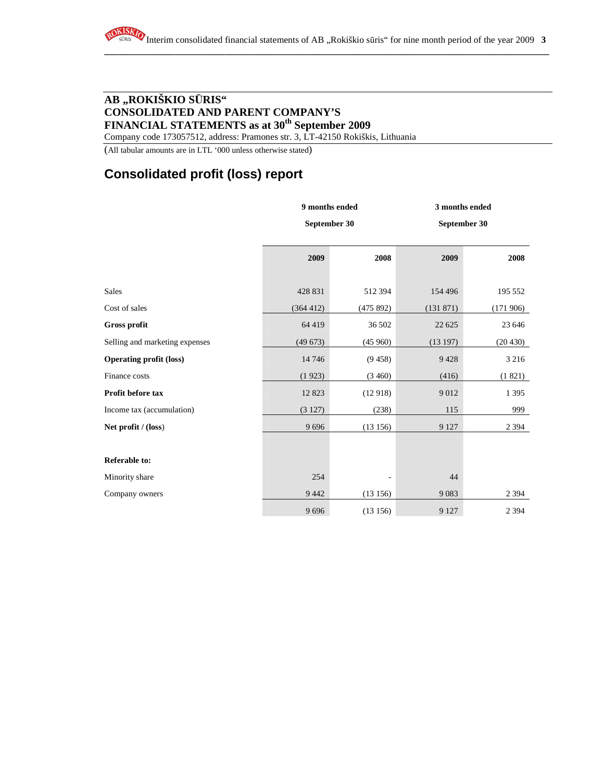Company code 173057512, address: Pramones str. 3, LT-42150 Rokiškis, Lithuania

(All tabular amounts are in LTL '000 unless otherwise stated)

# **Consolidated profit (loss) report**

|                                | 9 months ended |          |              | 3 months ended |  |
|--------------------------------|----------------|----------|--------------|----------------|--|
|                                | September 30   |          | September 30 |                |  |
|                                | 2009           | 2008     | 2009         | 2008           |  |
| Sales                          | 428 831        | 512394   | 154 496      | 195 552        |  |
| Cost of sales                  | (364 412)      | (475892) | (131 871)    | (171906)       |  |
| Gross profit                   | 64 4 19        | 36 502   | 22 6 25      | 23 646         |  |
| Selling and marketing expenses | (49673)        | (45960)  | (13197)      | (20 430)       |  |
| <b>Operating profit (loss)</b> | 14746          | (9458)   | 9428         | 3 2 1 6        |  |
| Finance costs                  | (1923)         | (3460)   | (416)        | (1821)         |  |
| Profit before tax              | 12823          | (12918)  | 9012         | 1 3 9 5        |  |
| Income tax (accumulation)      | (3 127)        | (238)    | 115          | 999            |  |
| Net profit $/(loss)$           | 9696           | (13156)  | 9 1 2 7      | 2 3 9 4        |  |
|                                |                |          |              |                |  |
| <b>Referable to:</b>           |                |          |              |                |  |
| Minority share                 | 254            |          | 44           |                |  |
| Company owners                 | 9442           | (13156)  | 9083         | 2 3 9 4        |  |
|                                | 9696           | (13156)  | 9 1 2 7      | 2 3 9 4        |  |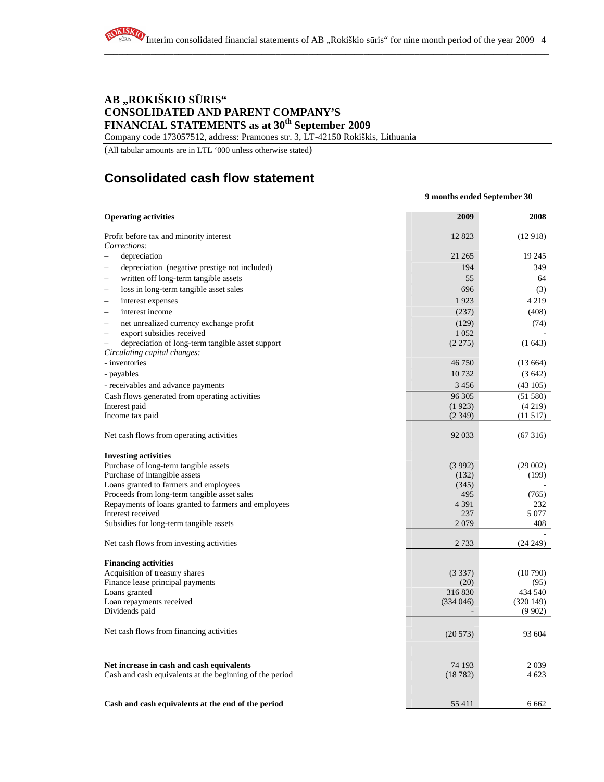Company code 173057512, address: Pramones str. 3, LT-42150 Rokiškis, Lithuania

(All tabular amounts are in LTL '000 unless otherwise stated)

# **Consolidated cash flow statement**

**9 months ended September 30** 

| <b>Operating activities</b>                                          | 2009     | 2008     |
|----------------------------------------------------------------------|----------|----------|
| Profit before tax and minority interest                              | 12823    | (12918)  |
| Corrections:                                                         |          |          |
| depreciation                                                         | 21 265   | 19 245   |
| depreciation (negative prestige not included)<br>$\equiv$            | 194      | 349      |
| written off long-term tangible assets<br>$\overline{\phantom{a}}$    | 55       | 64       |
| loss in long-term tangible asset sales<br>$\overline{\phantom{0}}$   | 696      | (3)      |
| interest expenses                                                    | 1923     | 4 2 1 9  |
| interest income                                                      | (237)    | (408)    |
| net unrealized currency exchange profit<br>$\overline{\phantom{0}}$  | (129)    | (74)     |
| export subsidies received<br>$\overline{\phantom{0}}$                | 1 0 5 2  |          |
| depreciation of long-term tangible asset support                     | (2275)   | (1643)   |
| Circulating capital changes:                                         |          |          |
| - inventories                                                        | 46 750   | (13664)  |
| - payables                                                           | 10732    | (3642)   |
| - receivables and advance payments                                   | 3 4 5 6  | (43105)  |
| Cash flows generated from operating activities                       | 96 30 5  | (51 580) |
| Interest paid                                                        | (1923)   | (4219)   |
| Income tax paid                                                      | (2349)   | (11517)  |
|                                                                      |          |          |
| Net cash flows from operating activities                             | 92 033   | (67316)  |
|                                                                      |          |          |
| <b>Investing activities</b><br>Purchase of long-term tangible assets | (3992)   | (29002)  |
| Purchase of intangible assets                                        | (132)    | (199)    |
| Loans granted to farmers and employees                               | (345)    |          |
| Proceeds from long-term tangible asset sales                         | 495      | (765)    |
| Repayments of loans granted to farmers and employees                 | 4 3 9 1  | 232      |
| Interest received                                                    | 237      | 5 0 7 7  |
| Subsidies for long-term tangible assets                              | 2079     | 408      |
|                                                                      |          |          |
| Net cash flows from investing activities                             | 2 7 3 3  | (24249)  |
| <b>Financing activities</b>                                          |          |          |
| Acquisition of treasury shares                                       | (3337)   | (10790)  |
| Finance lease principal payments                                     | (20)     | (95)     |
| Loans granted                                                        | 316830   | 434 540  |
| Loan repayments received                                             | (334046) | (320149) |
| Dividends paid                                                       |          | (9902)   |
|                                                                      |          |          |
| Net cash flows from financing activities                             | (20573)  | 93 604   |
|                                                                      |          |          |
|                                                                      |          |          |
| Net increase in cash and cash equivalents                            | 74 193   | 2039     |
| Cash and cash equivalents at the beginning of the period             | (18782)  | 4 6 23   |
|                                                                      |          |          |
| Cash and cash equivalents at the end of the period                   | 55 411   | 6 6 6 2  |
|                                                                      |          |          |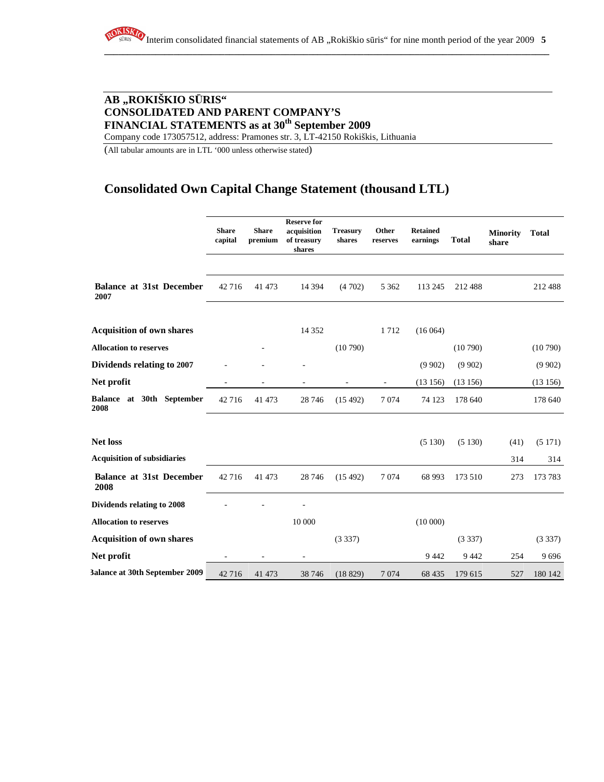Company code 173057512, address: Pramones str. 3, LT-42150 Rokiškis, Lithuania

(All tabular amounts are in LTL '000 unless otherwise stated)

## **Consolidated Own Capital Change Statement (thousand LTL)**

|                                         | <b>Share</b><br>capital | <b>Share</b><br>premium | <b>Reserve for</b><br>acquisition<br>of treasury<br>shares | <b>Treasury</b><br>shares | Other<br>reserves        | <b>Retained</b><br>earnings | <b>Total</b> | <b>Minority</b><br>share | <b>Total</b> |
|-----------------------------------------|-------------------------|-------------------------|------------------------------------------------------------|---------------------------|--------------------------|-----------------------------|--------------|--------------------------|--------------|
|                                         |                         |                         |                                                            |                           |                          |                             |              |                          |              |
| <b>Balance at 31st December</b><br>2007 | 42716                   | 41 473                  | 14 3 9 4                                                   | (4702)                    | 5 3 6 2                  | 113 245                     | 212488       |                          | 212 488      |
| <b>Acquisition of own shares</b>        |                         |                         | 14 3 5 2                                                   |                           | 1712                     | (16064)                     |              |                          |              |
| <b>Allocation to reserves</b>           |                         |                         |                                                            | (10790)                   |                          |                             | (10790)      |                          | (10790)      |
| Dividends relating to 2007              |                         |                         |                                                            |                           |                          | (9902)                      | (9902)       |                          | (9902)       |
| Net profit                              | $\sim$                  | ÷                       |                                                            | $\overline{\phantom{a}}$  | $\overline{\phantom{a}}$ | (13156)                     | (13156)      |                          | (13156)      |
| Balance at 30th September<br>2008       | 42716                   | 41 473                  | 28 74 6                                                    | (15492)                   | 7 0 7 4                  | 74 123                      | 178 640      |                          | 178 640      |
|                                         |                         |                         |                                                            |                           |                          |                             |              |                          |              |
| <b>Net loss</b>                         |                         |                         |                                                            |                           |                          | (5130)                      | (5130)       | (41)                     | (5171)       |
| <b>Acquisition of subsidiaries</b>      |                         |                         |                                                            |                           |                          |                             |              | 314                      | 314          |
| <b>Balance at 31st December</b><br>2008 | 42716                   | 41 473                  | 28 74 6                                                    | (15492)                   | 7 0 7 4                  | 68 993                      | 173 510      | 273                      | 173 783      |
| Dividends relating to 2008              |                         |                         |                                                            |                           |                          |                             |              |                          |              |
| <b>Allocation to reserves</b>           |                         |                         | 10 000                                                     |                           |                          | (10000)                     |              |                          |              |
| <b>Acquisition of own shares</b>        |                         |                         |                                                            | (3337)                    |                          |                             | (3337)       |                          | (3337)       |
| Net profit                              |                         |                         |                                                            |                           |                          | 9 4 4 2                     | 9 4 4 2      | 254                      | 9696         |
| <b>Balance at 30th September 2009</b>   | 42716                   | 41 473                  | 38 746                                                     | (18829)                   | 7 0 7 4                  | 68 4 35                     | 179 615      | 527                      | 180 142      |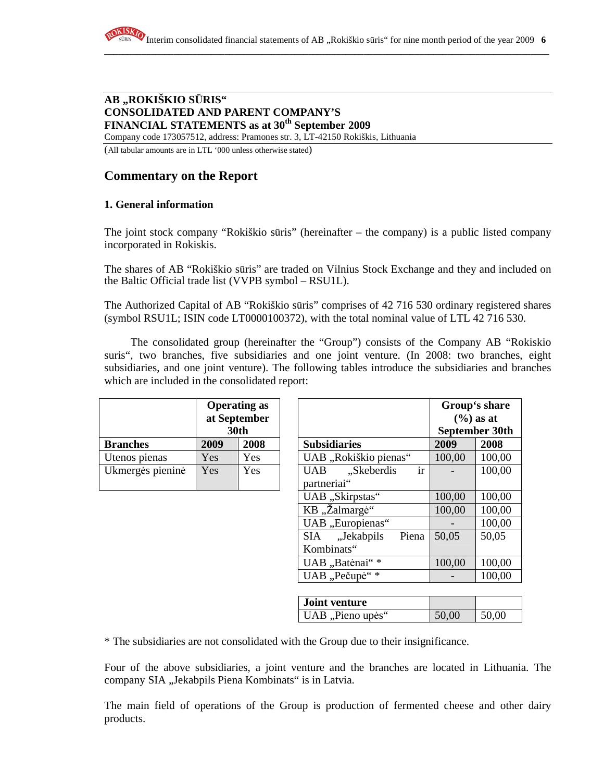Company code 173057512, address: Pramones str. 3, LT-42150 Rokiškis, Lithuania

(All tabular amounts are in LTL '000 unless otherwise stated)

## **Commentary on the Report**

#### **1. General information**

The joint stock company "Rokiškio sūris" (hereinafter – the company) is a public listed company incorporated in Rokiskis.

The shares of AB "Rokiškio sūris" are traded on Vilnius Stock Exchange and they and included on the Baltic Official trade list (VVPB symbol – RSU1L).

The Authorized Capital of AB "Rokiškio sūris" comprises of 42 716 530 ordinary registered shares (symbol RSU1L; ISIN code LT0000100372), with the total nominal value of LTL 42 716 530.

The consolidated group (hereinafter the "Group") consists of the Company AB "Rokiskio suris", two branches, five subsidiaries and one joint venture. (In 2008: two branches, eight subsidiaries, and one joint venture). The following tables introduce the subsidiaries and branches which are included in the consolidated report:

|                  | <b>Operating as</b><br>at September<br>30th |      |                           |                       |  |
|------------------|---------------------------------------------|------|---------------------------|-----------------------|--|
| <b>Branches</b>  | 2009                                        | 2008 | <b>Subsidiaries</b>       |                       |  |
| Utenos pienas    | Yes                                         | Yes  |                           | UAB "Rokiškio pienas" |  |
| Ukmergės pieninė | Yes                                         | Yes  | <b>UAB</b><br>nartneriai" | "Skeberdis            |  |

|                  | <b>Operating as</b><br>at September<br>30th |      |                                     |               |                       |               | Group's share<br>$(\frac{6}{6})$ as at<br><b>September 30th</b> |        |
|------------------|---------------------------------------------|------|-------------------------------------|---------------|-----------------------|---------------|-----------------------------------------------------------------|--------|
| <b>Branches</b>  | 2009                                        | 2008 |                                     |               | <b>Subsidiaries</b>   |               | 2009                                                            | 2008   |
| Utenos pienas    | Yes                                         | Yes  |                                     |               | UAB "Rokiškio pienas" |               | 100,00                                                          | 100,00 |
| Ukmergės pieninė | Yes                                         | Yes  |                                     | <b>UAB</b>    | "Skeberdis            | <sub>1r</sub> |                                                                 | 100,00 |
|                  |                                             |      |                                     | partneriai"   |                       |               |                                                                 |        |
|                  |                                             |      | UAB "Skirpstas"<br>100,00<br>100,00 |               |                       |               |                                                                 |        |
|                  |                                             |      |                                     | KB "Žalmargė" |                       |               | 100,00                                                          | 100,00 |
|                  |                                             |      |                                     |               | UAB "Europienas"      |               |                                                                 | 100,00 |
|                  |                                             |      |                                     | <b>SIA</b>    | "Jekabpils            | Piena         | 50,05                                                           | 50,05  |
|                  |                                             |      |                                     | Kombinats"    |                       |               |                                                                 |        |
|                  |                                             |      | UAB "Batėnai"*<br>100,00            |               |                       | 100,00        |                                                                 |        |
|                  |                                             |      |                                     |               | UAB "Pečupė"*         |               |                                                                 | 100,00 |

| <b>Joint venture</b> |       |       |
|----------------------|-------|-------|
| UAB, Pieno upės"     | 50,00 | 50,00 |

\* The subsidiaries are not consolidated with the Group due to their insignificance.

Four of the above subsidiaries, a joint venture and the branches are located in Lithuania. The company SIA "Jekabpils Piena Kombinats" is in Latvia.

The main field of operations of the Group is production of fermented cheese and other dairy products.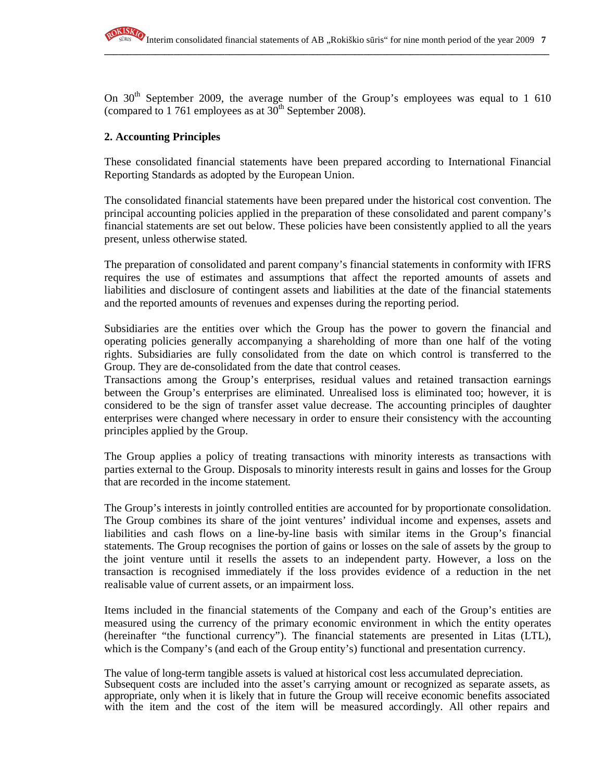On  $30<sup>th</sup>$  September 2009, the average number of the Group's employees was equal to 1 610 (compared to 1 761 employees as at  $30<sup>th</sup>$  September 2008).

**\_\_\_\_\_\_\_\_\_\_\_\_\_\_\_\_\_\_\_\_\_\_\_\_\_\_\_\_\_\_\_\_\_\_\_\_\_\_\_\_\_\_\_\_\_\_\_\_\_\_\_\_\_\_\_\_\_\_\_\_\_\_\_\_\_\_\_\_\_\_\_\_\_\_\_\_\_\_\_\_\_\_\_\_\_\_\_\_\_\_\_\_\_\_\_\_**

## **2. Accounting Principles**

These consolidated financial statements have been prepared according to International Financial Reporting Standards as adopted by the European Union.

The consolidated financial statements have been prepared under the historical cost convention. The principal accounting policies applied in the preparation of these consolidated and parent company's financial statements are set out below. These policies have been consistently applied to all the years present, unless otherwise stated.

The preparation of consolidated and parent company's financial statements in conformity with IFRS requires the use of estimates and assumptions that affect the reported amounts of assets and liabilities and disclosure of contingent assets and liabilities at the date of the financial statements and the reported amounts of revenues and expenses during the reporting period.

Subsidiaries are the entities over which the Group has the power to govern the financial and operating policies generally accompanying a shareholding of more than one half of the voting rights. Subsidiaries are fully consolidated from the date on which control is transferred to the Group. They are de-consolidated from the date that control ceases.

Transactions among the Group's enterprises, residual values and retained transaction earnings between the Group's enterprises are eliminated. Unrealised loss is eliminated too; however, it is considered to be the sign of transfer asset value decrease. The accounting principles of daughter enterprises were changed where necessary in order to ensure their consistency with the accounting principles applied by the Group.

The Group applies a policy of treating transactions with minority interests as transactions with parties external to the Group. Disposals to minority interests result in gains and losses for the Group that are recorded in the income statement.

The Group's interests in jointly controlled entities are accounted for by proportionate consolidation. The Group combines its share of the joint ventures' individual income and expenses, assets and liabilities and cash flows on a line-by-line basis with similar items in the Group's financial statements. The Group recognises the portion of gains or losses on the sale of assets by the group to the joint venture until it resells the assets to an independent party. However, a loss on the transaction is recognised immediately if the loss provides evidence of a reduction in the net realisable value of current assets, or an impairment loss.

Items included in the financial statements of the Company and each of the Group's entities are measured using the currency of the primary economic environment in which the entity operates (hereinafter "the functional currency"). The financial statements are presented in Litas (LTL), which is the Company's (and each of the Group entity's) functional and presentation currency.

The value of long-term tangible assets is valued at historical cost less accumulated depreciation. Subsequent costs are included into the asset's carrying amount or recognized as separate assets, as appropriate, only when it is likely that in future the Group will receive economic benefits associated with the item and the cost of the item will be measured accordingly. All other repairs and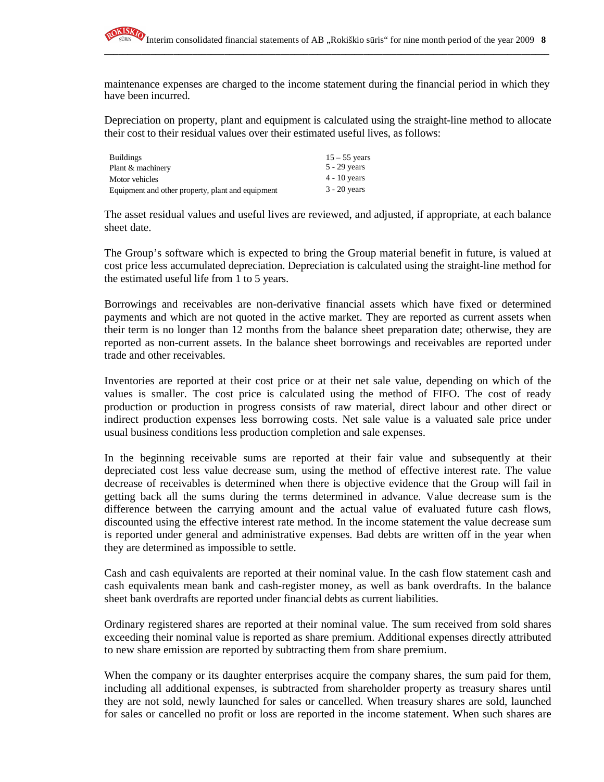maintenance expenses are charged to the income statement during the financial period in which they have been incurred.

**\_\_\_\_\_\_\_\_\_\_\_\_\_\_\_\_\_\_\_\_\_\_\_\_\_\_\_\_\_\_\_\_\_\_\_\_\_\_\_\_\_\_\_\_\_\_\_\_\_\_\_\_\_\_\_\_\_\_\_\_\_\_\_\_\_\_\_\_\_\_\_\_\_\_\_\_\_\_\_\_\_\_\_\_\_\_\_\_\_\_\_\_\_\_\_\_**

Depreciation on property, plant and equipment is calculated using the straight-line method to allocate their cost to their residual values over their estimated useful lives, as follows:

| <b>Buildings</b>                                  | $15 - 55$ years |
|---------------------------------------------------|-----------------|
| Plant & machinery                                 | $5 - 29$ years  |
| Motor vehicles                                    | $4 - 10$ years  |
| Equipment and other property, plant and equipment | $3 - 20$ years  |

The asset residual values and useful lives are reviewed, and adjusted, if appropriate, at each balance sheet date.

The Group's software which is expected to bring the Group material benefit in future, is valued at cost price less accumulated depreciation. Depreciation is calculated using the straight-line method for the estimated useful life from 1 to 5 years.

Borrowings and receivables are non-derivative financial assets which have fixed or determined payments and which are not quoted in the active market. They are reported as current assets when their term is no longer than 12 months from the balance sheet preparation date; otherwise, they are reported as non-current assets. In the balance sheet borrowings and receivables are reported under trade and other receivables.

Inventories are reported at their cost price or at their net sale value, depending on which of the values is smaller. The cost price is calculated using the method of FIFO. The cost of ready production or production in progress consists of raw material, direct labour and other direct or indirect production expenses less borrowing costs. Net sale value is a valuated sale price under usual business conditions less production completion and sale expenses.

In the beginning receivable sums are reported at their fair value and subsequently at their depreciated cost less value decrease sum, using the method of effective interest rate. The value decrease of receivables is determined when there is objective evidence that the Group will fail in getting back all the sums during the terms determined in advance. Value decrease sum is the difference between the carrying amount and the actual value of evaluated future cash flows, discounted using the effective interest rate method. In the income statement the value decrease sum is reported under general and administrative expenses. Bad debts are written off in the year when they are determined as impossible to settle.

Cash and cash equivalents are reported at their nominal value. In the cash flow statement cash and cash equivalents mean bank and cash-register money, as well as bank overdrafts. In the balance sheet bank overdrafts are reported under financial debts as current liabilities.

Ordinary registered shares are reported at their nominal value. The sum received from sold shares exceeding their nominal value is reported as share premium. Additional expenses directly attributed to new share emission are reported by subtracting them from share premium.

When the company or its daughter enterprises acquire the company shares, the sum paid for them, including all additional expenses, is subtracted from shareholder property as treasury shares until they are not sold, newly launched for sales or cancelled. When treasury shares are sold, launched for sales or cancelled no profit or loss are reported in the income statement. When such shares are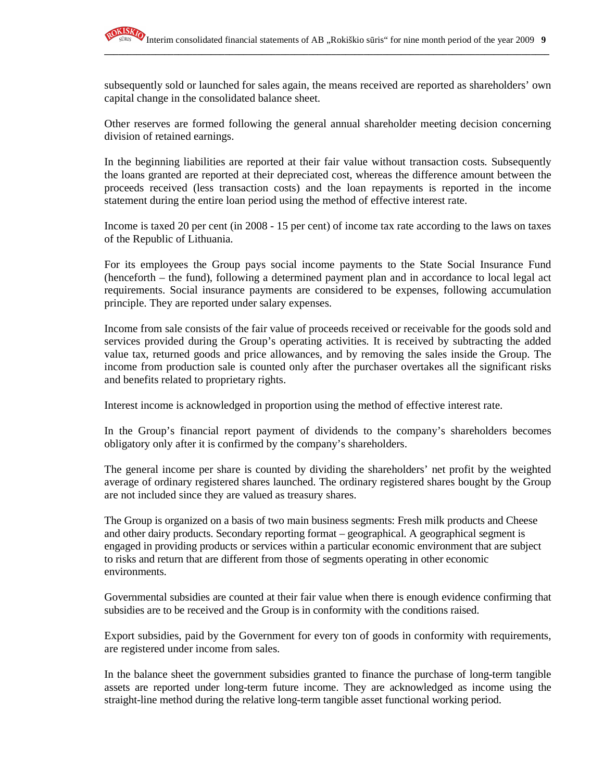subsequently sold or launched for sales again, the means received are reported as shareholders' own capital change in the consolidated balance sheet.

**\_\_\_\_\_\_\_\_\_\_\_\_\_\_\_\_\_\_\_\_\_\_\_\_\_\_\_\_\_\_\_\_\_\_\_\_\_\_\_\_\_\_\_\_\_\_\_\_\_\_\_\_\_\_\_\_\_\_\_\_\_\_\_\_\_\_\_\_\_\_\_\_\_\_\_\_\_\_\_\_\_\_\_\_\_\_\_\_\_\_\_\_\_\_\_\_**

Other reserves are formed following the general annual shareholder meeting decision concerning division of retained earnings.

In the beginning liabilities are reported at their fair value without transaction costs. Subsequently the loans granted are reported at their depreciated cost, whereas the difference amount between the proceeds received (less transaction costs) and the loan repayments is reported in the income statement during the entire loan period using the method of effective interest rate.

Income is taxed 20 per cent (in 2008 - 15 per cent) of income tax rate according to the laws on taxes of the Republic of Lithuania.

For its employees the Group pays social income payments to the State Social Insurance Fund (henceforth – the fund), following a determined payment plan and in accordance to local legal act requirements. Social insurance payments are considered to be expenses, following accumulation principle. They are reported under salary expenses.

Income from sale consists of the fair value of proceeds received or receivable for the goods sold and services provided during the Group's operating activities. It is received by subtracting the added value tax, returned goods and price allowances, and by removing the sales inside the Group. The income from production sale is counted only after the purchaser overtakes all the significant risks and benefits related to proprietary rights.

Interest income is acknowledged in proportion using the method of effective interest rate.

In the Group's financial report payment of dividends to the company's shareholders becomes obligatory only after it is confirmed by the company's shareholders.

The general income per share is counted by dividing the shareholders' net profit by the weighted average of ordinary registered shares launched. The ordinary registered shares bought by the Group are not included since they are valued as treasury shares.

The Group is organized on a basis of two main business segments: Fresh milk products and Cheese and other dairy products. Secondary reporting format – geographical. A geographical segment is engaged in providing products or services within a particular economic environment that are subject to risks and return that are different from those of segments operating in other economic environments.

Governmental subsidies are counted at their fair value when there is enough evidence confirming that subsidies are to be received and the Group is in conformity with the conditions raised.

Export subsidies, paid by the Government for every ton of goods in conformity with requirements, are registered under income from sales.

In the balance sheet the government subsidies granted to finance the purchase of long-term tangible assets are reported under long-term future income. They are acknowledged as income using the straight-line method during the relative long-term tangible asset functional working period.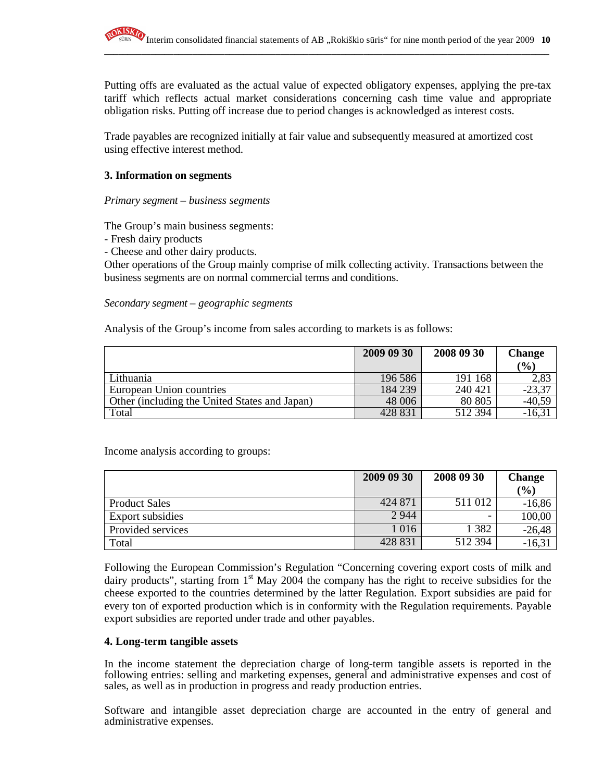Putting offs are evaluated as the actual value of expected obligatory expenses, applying the pre-tax tariff which reflects actual market considerations concerning cash time value and appropriate obligation risks. Putting off increase due to period changes is acknowledged as interest costs.

Trade payables are recognized initially at fair value and subsequently measured at amortized cost using effective interest method.

#### **3. Information on segments**

#### *Primary segment – business segments*

The Group's main business segments:

- Fresh dairy products

- Cheese and other dairy products.

Other operations of the Group mainly comprise of milk collecting activity. Transactions between the business segments are on normal commercial terms and conditions.

#### *Secondary segment – geographic segments*

Analysis of the Group's income from sales according to markets is as follows:

|                                               | 2009 09 30 | 2008 09 30 | <b>Change</b> |
|-----------------------------------------------|------------|------------|---------------|
|                                               |            |            | (%)           |
| Lithuania                                     | 196 586    | 191 168    | 2,83          |
| European Union countries                      | 184 239    | 240 421    | $-23,37$      |
| Other (including the United States and Japan) | 48 006     | 80 805     | $-40,59$      |
| Total                                         | 428 831    | 512 394    | $-16,31$      |

Income analysis according to groups:

|                         | 2009 09 30 | 2008 09 30 | <b>Change</b> |
|-------------------------|------------|------------|---------------|
|                         |            |            | (%)           |
| <b>Product Sales</b>    | 424 871    | 511 012    | $-16,86$      |
| <b>Export subsidies</b> | 2 9 4 4    |            | 100,00        |
| Provided services       | 1 016      | 382        | $-26,48$      |
| Total                   | 428 831    | 512 394    | $-16,31$      |

Following the European Commission's Regulation "Concerning covering export costs of milk and dairy products", starting from  $1<sup>st</sup>$  May 2004 the company has the right to receive subsidies for the cheese exported to the countries determined by the latter Regulation. Export subsidies are paid for every ton of exported production which is in conformity with the Regulation requirements. Payable export subsidies are reported under trade and other payables.

#### **4. Long-term tangible assets**

In the income statement the depreciation charge of long-term tangible assets is reported in the following entries: selling and marketing expenses, general and administrative expenses and cost of sales, as well as in production in progress and ready production entries.

Software and intangible asset depreciation charge are accounted in the entry of general and administrative expenses.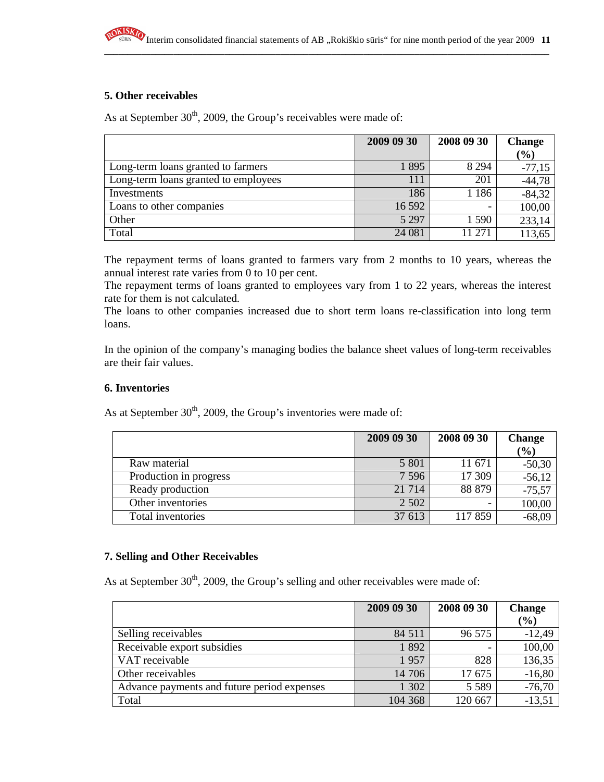## **5. Other receivables**

As at September  $30<sup>th</sup>$ , 2009, the Group's receivables were made of:

|                                      | 2009 09 30 | 2008 09 30 | <b>Change</b> |
|--------------------------------------|------------|------------|---------------|
|                                      |            |            | $\frac{9}{0}$ |
| Long-term loans granted to farmers   | 1895       | 8 2 9 4    | $-77,15$      |
| Long-term loans granted to employees | 111        | 201        | $-44,78$      |
| Investments                          | 186        | 186        | $-84,32$      |
| Loans to other companies             | 16 5 92    |            | 100,00        |
| Other                                | 5 2 9 7    | 1 590      | 233,14        |
| Total                                | 24 081     | 11 271     | 113,65        |

The repayment terms of loans granted to farmers vary from 2 months to 10 years, whereas the annual interest rate varies from 0 to 10 per cent.

The repayment terms of loans granted to employees vary from 1 to 22 years, whereas the interest rate for them is not calculated.

The loans to other companies increased due to short term loans re-classification into long term loans.

In the opinion of the company's managing bodies the balance sheet values of long-term receivables are their fair values.

#### **6. Inventories**

As at September  $30<sup>th</sup>$ , 2009, the Group's inventories were made of:

|                        | 2009 09 30 | 2008 09 30 | <b>Change</b> |
|------------------------|------------|------------|---------------|
|                        |            |            | $(\%)$        |
| Raw material           | 5 801      | 11 671     | $-50,30$      |
| Production in progress | 7 5 9 6    | 17 309     | $-56,12$      |
| Ready production       | 21 7 14    | 88 879     | $-75,57$      |
| Other inventories      | 2 5 0 2    |            | 100,00        |
| Total inventories      | 37 613     | 117859     | $-68,09$      |

#### **7. Selling and Other Receivables**

As at September  $30<sup>th</sup>$ , 2009, the Group's selling and other receivables were made of:

|                                             | 2009 09 30 | 2008 09 30 | <b>Change</b><br>$(\%)$ |
|---------------------------------------------|------------|------------|-------------------------|
| Selling receivables                         | 84 511     | 96 575     | $-12,49$                |
| Receivable export subsidies                 | 1892       |            | 100,00                  |
| VAT receivable                              | 1957       | 828        | 136,35                  |
| Other receivables                           | 14 706     | 17675      | $-16,80$                |
| Advance payments and future period expenses | 1 302      | 5 5 8 9    | $-76,70$                |
| Total                                       | 104 368    | 120 667    | $-13,51$                |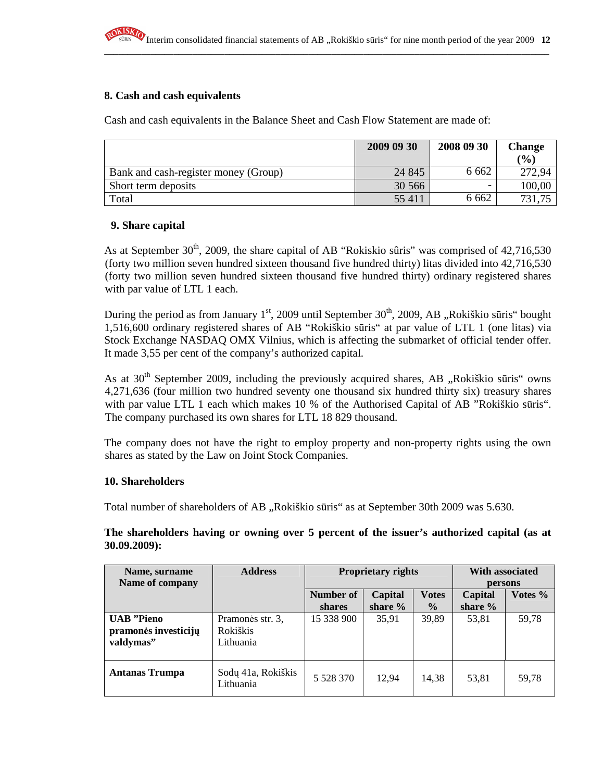#### **8. Cash and cash equivalents**

Cash and cash equivalents in the Balance Sheet and Cash Flow Statement are made of:

|                                      | 2009 09 30 | 2008 09 30 | <b>Change</b> |
|--------------------------------------|------------|------------|---------------|
|                                      |            |            | (%)           |
| Bank and cash-register money (Group) | 24 845     | 6 6 6 2    | 272,94        |
| Short term deposits                  | 30 566     |            | 100,00        |
| Total                                | 55 411     | 6 6 6 2    | 731,75        |

#### **9. Share capital**

As at September  $30<sup>th</sup>$ , 2009, the share capital of AB "Rokiskio sûris" was comprised of 42,716,530 (forty two million seven hundred sixteen thousand five hundred thirty) litas divided into 42,716,530 (forty two million seven hundred sixteen thousand five hundred thirty) ordinary registered shares with par value of LTL 1 each.

During the period as from January  $1<sup>st</sup>$ , 2009 until September 30<sup>th</sup>, 2009, AB "Rokiškio sūris" bought 1,516,600 ordinary registered shares of AB "Rokiškio sūris" at par value of LTL 1 (one litas) via Stock Exchange NASDAQ OMX Vilnius, which is affecting the submarket of official tender offer. It made 3,55 per cent of the company's authorized capital.

As at  $30<sup>th</sup>$  September 2009, including the previously acquired shares, AB "Rokiškio sūris" owns 4,271,636 (four million two hundred seventy one thousand six hundred thirty six) treasury shares with par value LTL 1 each which makes 10 % of the Authorised Capital of AB "Rokiškio sūris". The company purchased its own shares for LTL 18 829 thousand.

The company does not have the right to employ property and non-property rights using the own shares as stated by the Law on Joint Stock Companies.

#### **10. Shareholders**

Total number of shareholders of AB "Rokiškio sūris" as at September 30th 2009 was 5.630.

**The shareholders having or owning over 5 percent of the issuer's authorized capital (as at 30.09.2009):** 

| Name, surname                                          | <b>Address</b>                            | <b>Proprietary rights</b> |           |               | <b>With associated</b> |         |
|--------------------------------------------------------|-------------------------------------------|---------------------------|-----------|---------------|------------------------|---------|
| Name of company                                        |                                           |                           |           |               | persons                |         |
|                                                        |                                           | <b>Number of</b>          | Capital   | <b>Votes</b>  | Capital                | Votes % |
|                                                        |                                           | shares                    | share $%$ | $\frac{0}{0}$ | share $%$              |         |
| <b>UAB</b> "Pieno<br>pramonės investicijų<br>valdymas" | Pramonės str. 3,<br>Rokiškis<br>Lithuania | 15 338 900                | 35,91     | 39,89         | 53,81                  | 59,78   |
| Antanas Trumpa                                         | Sodų 41a, Rokiškis<br>Lithuania           | 5 5 28 3 70               | 12,94     | 14,38         | 53,81                  | 59,78   |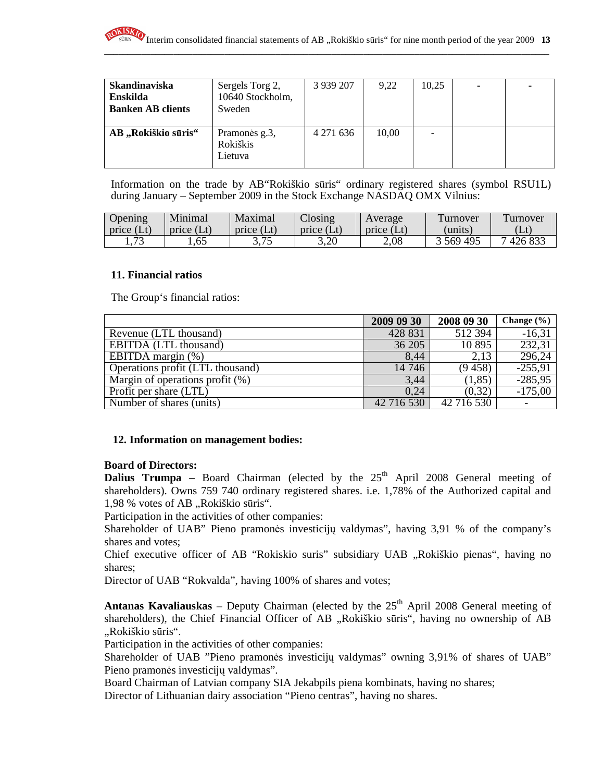

| <b>Skandinaviska</b><br><b>Enskilda</b><br><b>Banken AB clients</b> | Sergels Torg 2,<br>10640 Stockholm,<br>Sweden | 3 9 39 207 | 9,22  | 10.25 |  |
|---------------------------------------------------------------------|-----------------------------------------------|------------|-------|-------|--|
| AB "Rokiškio sūris"                                                 | Pramonės g.3,<br>Rokiškis<br>Lietuva          | 4 271 636  | 10,00 |       |  |

**\_\_\_\_\_\_\_\_\_\_\_\_\_\_\_\_\_\_\_\_\_\_\_\_\_\_\_\_\_\_\_\_\_\_\_\_\_\_\_\_\_\_\_\_\_\_\_\_\_\_\_\_\_\_\_\_\_\_\_\_\_\_\_\_\_\_\_\_\_\_\_\_\_\_\_\_\_\_\_\_\_\_\_\_\_\_\_\_\_\_\_\_\_\_\_\_**

Information on the trade by AB"Rokiškio sūris" ordinary registered shares (symbol RSU1L) during January – September 2009 in the Stock Exchange NASDAQ OMX Vilnius:

| Jpening                  | Minimal      | Maximal    | Closing      | Average      | Furnover  | urnover |
|--------------------------|--------------|------------|--------------|--------------|-----------|---------|
| price $(Lt)$             | price $(Lt)$ | price (Lt) | price $(Lt)$ | price $(Lt)$ | (units)   | (Lt)    |
| $\overline{\phantom{a}}$ | 1,65         | つ ワビ       | 3,20         | 2,08         | 3 569 495 | 426 833 |

#### **11. Financial ratios**

The Group's financial ratios:

|                                    | 2009 09 30 | 2008 09 30 | Change $(\% )$      |
|------------------------------------|------------|------------|---------------------|
| Revenue (LTL thousand)             | 428 831    | 512 394    | $-16,31$            |
| EBITDA (LTL thousand)              | 36 205     | 10895      | $\overline{232,31}$ |
| EBITDA margin $(\%)$               | 8,44       | 2,13       | 296,24              |
| Operations profit (LTL thousand)   | 14 74 6    | (9458)     | $-255,91$           |
| Margin of operations profit $(\%)$ | 3,44       | (1, 85)    | $-285,95$           |
| Profit per share (LTL)             | 0.24       | (0,32)     | $-175,00$           |
| Number of shares (units)           | 42 716 530 | 42 716 530 |                     |

#### **12. Information on management bodies:**

#### **Board of Directors:**

**Dalius Trumpa** – Board Chairman (elected by the  $25<sup>th</sup>$  April 2008 General meeting of shareholders). Owns 759 740 ordinary registered shares. i.e. 1,78% of the Authorized capital and 1,98 % votes of AB "Rokiškio sūris".

Participation in the activities of other companies:

Shareholder of UAB" Pieno pramonės investicijų valdymas", having 3,91 % of the company's shares and votes;

Chief executive officer of AB "Rokiskio suris" subsidiary UAB "Rokiškio pienas", having no shares;

Director of UAB "Rokvalda", having 100% of shares and votes;

**Antanas Kavaliauskas** – Deputy Chairman (elected by the  $25<sup>th</sup>$  April 2008 General meeting of shareholders), the Chief Financial Officer of AB "Rokiškio sūris", having no ownership of AB "Rokiškio sūris".

Participation in the activities of other companies:

Shareholder of UAB "Pieno pramonės investicijų valdymas" owning 3,91% of shares of UAB" Pieno pramonės investicijų valdymas".

Board Chairman of Latvian company SIA Jekabpils piena kombinats, having no shares;

Director of Lithuanian dairy association "Pieno centras", having no shares.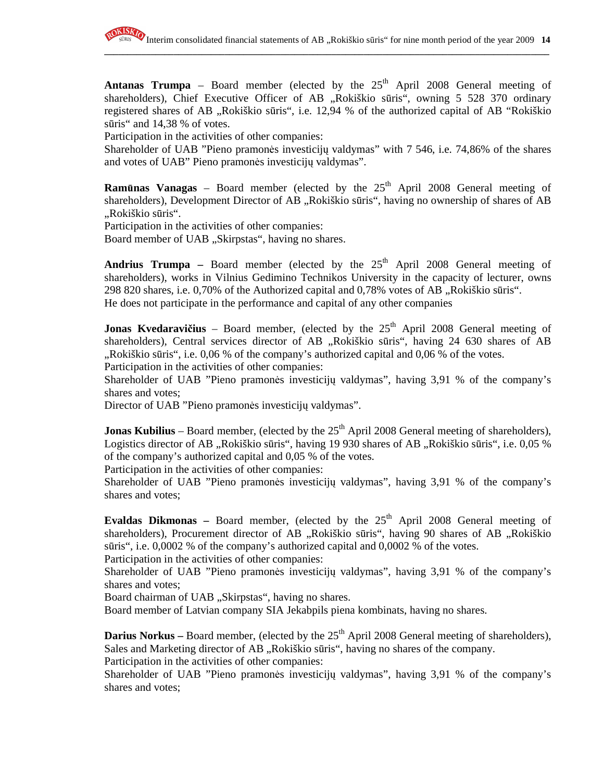

**Antanas Trumpa** – Board member (elected by the  $25<sup>th</sup>$  April 2008 General meeting of shareholders), Chief Executive Officer of AB "Rokiškio sūris", owning 5 528 370 ordinary registered shares of AB "Rokiškio sūris", i.e. 12,94 % of the authorized capital of AB "Rokiškio sūris" and 14,38 % of votes.

Participation in the activities of other companies:

Shareholder of UAB "Pieno pramonės investicijų valdymas" with 7 546, i.e. 74,86% of the shares and votes of UAB" Pieno pramonės investicijų valdymas".

**Ramūnas Vanagas** – Board member (elected by the  $25<sup>th</sup>$  April 2008 General meeting of shareholders), Development Director of AB "Rokiškio sūris", having no ownership of shares of AB "Rokiškio sūris".

Participation in the activities of other companies:

Board member of UAB "Skirpstas", having no shares.

**Andrius Trumpa** – Board member (elected by the 25<sup>th</sup> April 2008 General meeting of shareholders), works in Vilnius Gedimino Technikos University in the capacity of lecturer, owns  $298820$  shares, i.e.  $0.70\%$  of the Authorized capital and  $0.78\%$  votes of AB  $\alpha$ , Rokiškio sūris". He does not participate in the performance and capital of any other companies

**Jonas Kvedaravičius** – Board member, (elected by the  $25<sup>th</sup>$  April 2008 General meeting of shareholders), Central services director of AB "Rokiškio sūris", having 24 630 shares of AB  $R$ okiškio sūris", i.e. 0,06 % of the company's authorized capital and 0,06 % of the votes. Participation in the activities of other companies:

Shareholder of UAB "Pieno pramonės investicijų valdymas", having 3,91 % of the company's shares and votes;

Director of UAB "Pieno pramonės investicijų valdymas".

**Jonas Kubilius** – Board member, (elected by the  $25<sup>th</sup>$  April 2008 General meeting of shareholders), Logistics director of AB "Rokiškio sūris", having 19 930 shares of AB "Rokiškio sūris", i.e. 0,05 % of the company's authorized capital and 0,05 % of the votes.

Participation in the activities of other companies:

Shareholder of UAB "Pieno pramonės investicijų valdymas", having 3,91 % of the company's shares and votes;

**Evaldas Dikmonas** – Board member, (elected by the  $25<sup>th</sup>$  April 2008 General meeting of shareholders), Procurement director of AB "Rokiškio sūris", having 90 shares of AB "Rokiškio sūris", i.e. 0,0002 % of the company's authorized capital and 0,0002 % of the votes.

Participation in the activities of other companies:

Shareholder of UAB "Pieno pramonės investicijų valdymas", having 3,91 % of the company's shares and votes;

Board chairman of UAB "Skirpstas", having no shares.

Board member of Latvian company SIA Jekabpils piena kombinats, having no shares.

**Darius Norkus** – Board member, (elected by the 25<sup>th</sup> April 2008 General meeting of shareholders), Sales and Marketing director of AB "Rokiškio sūris", having no shares of the company.

Participation in the activities of other companies:

Shareholder of UAB "Pieno pramonės investicijų valdymas", having 3,91 % of the company's shares and votes;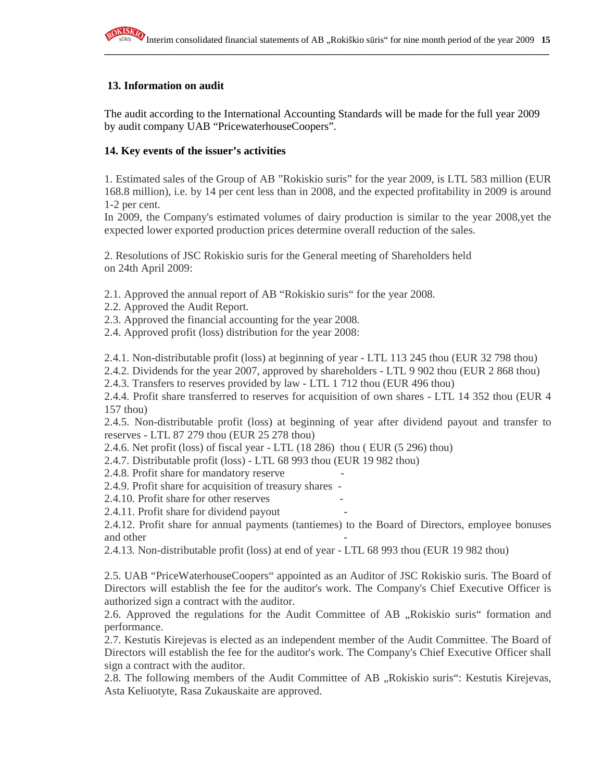#### **13. Information on audit**

The audit according to the International Accounting Standards will be made for the full year 2009 by audit company UAB "PricewaterhouseCoopers".

## **14. Key events of the issuer's activities**

1. Estimated sales of the Group of AB "Rokiskio suris" for the year 2009, is LTL 583 million (EUR 168.8 million), i.e. by 14 per cent less than in 2008, and the expected profitability in 2009 is around 1-2 per cent.

In 2009, the Company's estimated volumes of dairy production is similar to the year 2008,yet the expected lower exported production prices determine overall reduction of the sales.

2. Resolutions of JSC Rokiskio suris for the General meeting of Shareholders held on 24th April 2009:

2.1. Approved the annual report of AB "Rokiskio suris" for the year 2008.

2.2. Approved the Audit Report.

2.3. Approved the financial accounting for the year 2008.

2.4. Approved profit (loss) distribution for the year 2008:

2.4.1. Non-distributable profit (loss) at beginning of year - LTL 113 245 thou (EUR 32 798 thou)

2.4.2. Dividends for the year 2007, approved by shareholders - LTL 9 902 thou (EUR 2 868 thou)

2.4.3. Transfers to reserves provided by law - LTL 1 712 thou (EUR 496 thou)

2.4.4. Profit share transferred to reserves for acquisition of own shares - LTL 14 352 thou (EUR 4 157 thou)

2.4.5. Non-distributable profit (loss) at beginning of year after dividend payout and transfer to reserves - LTL 87 279 thou (EUR 25 278 thou)

2.4.6. Net profit (loss) of fiscal year - LTL (18 286) thou ( EUR (5 296) thou)

2.4.7. Distributable profit (loss) - LTL 68 993 thou (EUR 19 982 thou)

2.4.8. Profit share for mandatory reserve

2.4.9. Profit share for acquisition of treasury shares -

2.4.10. Profit share for other reserves

2.4.11. Profit share for dividend payout -

2.4.12. Profit share for annual payments (tantiemes) to the Board of Directors, employee bonuses and other

2.4.13. Non-distributable profit (loss) at end of year - LTL 68 993 thou (EUR 19 982 thou)

2.5. UAB "PriceWaterhouseCoopers" appointed as an Auditor of JSC Rokiskio suris. The Board of Directors will establish the fee for the auditor's work. The Company's Chief Executive Officer is authorized sign a contract with the auditor.

2.6. Approved the regulations for the Audit Committee of AB "Rokiskio suris" formation and performance.

2.7. Kestutis Kirejevas is elected as an independent member of the Audit Committee. The Board of Directors will establish the fee for the auditor's work. The Company's Chief Executive Officer shall sign a contract with the auditor.

2.8. The following members of the Audit Committee of AB "Rokiskio suris": Kestutis Kirejevas, Asta Keliuotyte, Rasa Zukauskaite are approved.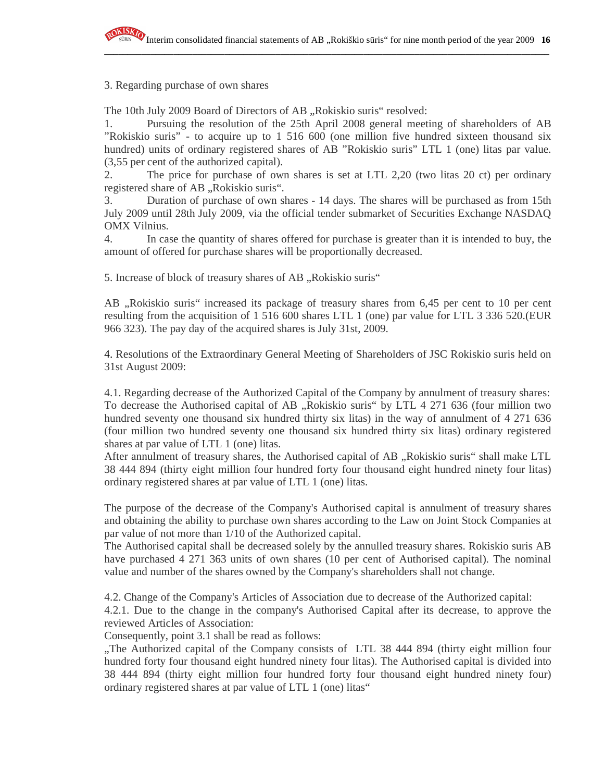#### 3. Regarding purchase of own shares

The 10th July 2009 Board of Directors of AB "Rokiskio suris" resolved:

1. Pursuing the resolution of the 25th April 2008 general meeting of shareholders of AB "Rokiskio suris" - to acquire up to 1 516 600 (one million five hundred sixteen thousand six hundred) units of ordinary registered shares of AB "Rokiskio suris" LTL 1 (one) litas par value. (3,55 per cent of the authorized capital).

**\_\_\_\_\_\_\_\_\_\_\_\_\_\_\_\_\_\_\_\_\_\_\_\_\_\_\_\_\_\_\_\_\_\_\_\_\_\_\_\_\_\_\_\_\_\_\_\_\_\_\_\_\_\_\_\_\_\_\_\_\_\_\_\_\_\_\_\_\_\_\_\_\_\_\_\_\_\_\_\_\_\_\_\_\_\_\_\_\_\_\_\_\_\_\_\_**

2. The price for purchase of own shares is set at LTL 2,20 (two litas 20 ct) per ordinary registered share of AB "Rokiskio suris".

3. Duration of purchase of own shares - 14 days. The shares will be purchased as from 15th July 2009 until 28th July 2009, via the official tender submarket of Securities Exchange NASDAQ OMX Vilnius.

4. In case the quantity of shares offered for purchase is greater than it is intended to buy, the amount of offered for purchase shares will be proportionally decreased.

5. Increase of block of treasury shares of AB, Rokiskio suris"

AB "Rokiskio suris" increased its package of treasury shares from 6,45 per cent to 10 per cent resulting from the acquisition of 1 516 600 shares LTL 1 (one) par value for LTL 3 336 520.(EUR 966 323). The pay day of the acquired shares is July 31st, 2009.

4. Resolutions of the Extraordinary General Meeting of Shareholders of JSC Rokiskio suris held on 31st August 2009:

4.1. Regarding decrease of the Authorized Capital of the Company by annulment of treasury shares: To decrease the Authorised capital of AB "Rokiskio suris" by LTL 4 271 636 (four million two hundred seventy one thousand six hundred thirty six litas) in the way of annulment of 4 271 636 (four million two hundred seventy one thousand six hundred thirty six litas) ordinary registered shares at par value of LTL 1 (one) litas.

After annulment of treasury shares, the Authorised capital of AB "Rokiskio suris" shall make LTL 38 444 894 (thirty eight million four hundred forty four thousand eight hundred ninety four litas) ordinary registered shares at par value of LTL 1 (one) litas.

The purpose of the decrease of the Company's Authorised capital is annulment of treasury shares and obtaining the ability to purchase own shares according to the Law on Joint Stock Companies at par value of not more than 1/10 of the Authorized capital.

The Authorised capital shall be decreased solely by the annulled treasury shares. Rokiskio suris AB have purchased 4 271 363 units of own shares (10 per cent of Authorised capital). The nominal value and number of the shares owned by the Company's shareholders shall not change.

4.2. Change of the Company's Articles of Association due to decrease of the Authorized capital:

4.2.1. Due to the change in the company's Authorised Capital after its decrease, to approve the reviewed Articles of Association:

Consequently, point 3.1 shall be read as follows:

"The Authorized capital of the Company consists of LTL 38 444 894 (thirty eight million four hundred forty four thousand eight hundred ninety four litas). The Authorised capital is divided into 38 444 894 (thirty eight million four hundred forty four thousand eight hundred ninety four) ordinary registered shares at par value of LTL 1 (one) litas"